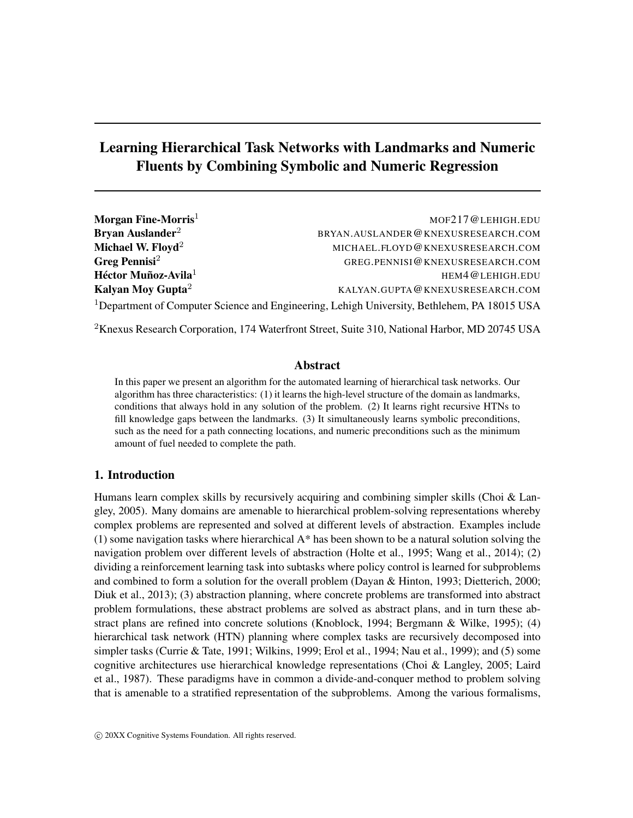# Learning Hierarchical Task Networks with Landmarks and Numeric Fluents by Combining Symbolic and Numeric Regression

| Morgan Fine-Morris $^1$       | MOF217@LEHIGH.EDU                                                                                       |
|-------------------------------|---------------------------------------------------------------------------------------------------------|
| Bryan Auslander $^2$          | BRYAN.AUSLANDER@KNEXUSRESEARCH.COM                                                                      |
| Michael W. Floyd $^2\,$       | MICHAEL.FLOYD@KNEXUSRESEARCH.COM                                                                        |
| Greg Pennisi $^2\,$           | GREG.PENNISI@KNEXUSRESEARCH.COM                                                                         |
| Héctor Muñoz-Avila $^1\,$     | HEM4@LEHIGH.EDU                                                                                         |
| Kalyan Moy Gupta <sup>2</sup> | KALYAN.GUPTA@KNEXUSRESEARCH.COM                                                                         |
|                               | <sup>1</sup> Department of Computer Science and Engineering, Lehigh University, Bethlehem, PA 18015 USA |

<sup>2</sup>Knexus Research Corporation, 174 Waterfront Street, Suite 310, National Harbor, MD 20745 USA

# Abstract

In this paper we present an algorithm for the automated learning of hierarchical task networks. Our algorithm has three characteristics: (1) it learns the high-level structure of the domain as landmarks, conditions that always hold in any solution of the problem. (2) It learns right recursive HTNs to fill knowledge gaps between the landmarks. (3) It simultaneously learns symbolic preconditions, such as the need for a path connecting locations, and numeric preconditions such as the minimum amount of fuel needed to complete the path.

# 1. Introduction

Humans learn complex skills by recursively acquiring and combining simpler skills (Choi & Langley, 2005). Many domains are amenable to hierarchical problem-solving representations whereby complex problems are represented and solved at different levels of abstraction. Examples include (1) some navigation tasks where hierarchical A\* has been shown to be a natural solution solving the navigation problem over different levels of abstraction (Holte et al., 1995; Wang et al., 2014); (2) dividing a reinforcement learning task into subtasks where policy control is learned for subproblems and combined to form a solution for the overall problem (Dayan & Hinton, 1993; Dietterich, 2000; Diuk et al., 2013); (3) abstraction planning, where concrete problems are transformed into abstract problem formulations, these abstract problems are solved as abstract plans, and in turn these abstract plans are refined into concrete solutions (Knoblock, 1994; Bergmann & Wilke, 1995); (4) hierarchical task network (HTN) planning where complex tasks are recursively decomposed into simpler tasks (Currie & Tate, 1991; Wilkins, 1999; Erol et al., 1994; Nau et al., 1999); and (5) some cognitive architectures use hierarchical knowledge representations (Choi & Langley, 2005; Laird et al., 1987). These paradigms have in common a divide-and-conquer method to problem solving that is amenable to a stratified representation of the subproblems. Among the various formalisms,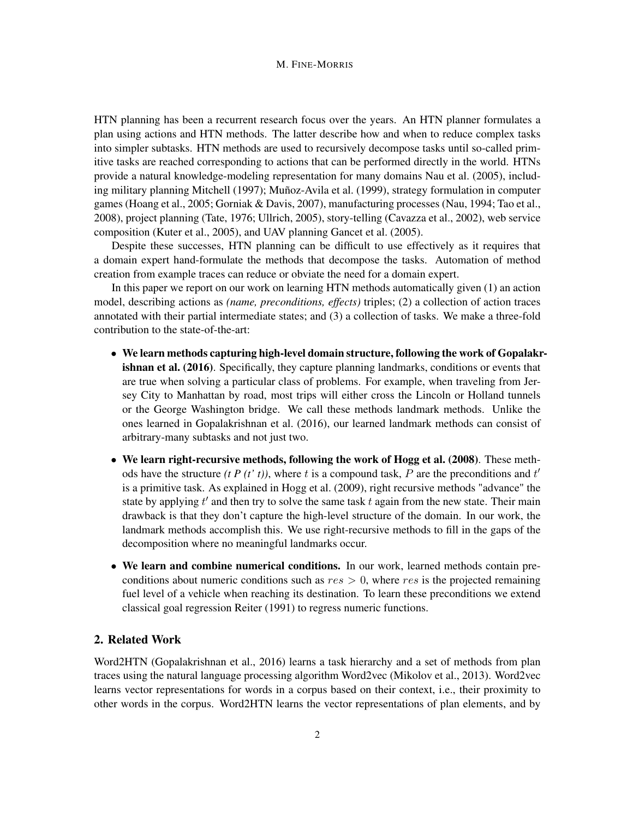HTN planning has been a recurrent research focus over the years. An HTN planner formulates a plan using actions and HTN methods. The latter describe how and when to reduce complex tasks into simpler subtasks. HTN methods are used to recursively decompose tasks until so-called primitive tasks are reached corresponding to actions that can be performed directly in the world. HTNs provide a natural knowledge-modeling representation for many domains Nau et al. (2005), including military planning Mitchell (1997); Muñoz-Avila et al. (1999), strategy formulation in computer games (Hoang et al., 2005; Gorniak & Davis, 2007), manufacturing processes (Nau, 1994; Tao et al., 2008), project planning (Tate, 1976; Ullrich, 2005), story-telling (Cavazza et al., 2002), web service composition (Kuter et al., 2005), and UAV planning Gancet et al. (2005).

Despite these successes, HTN planning can be difficult to use effectively as it requires that a domain expert hand-formulate the methods that decompose the tasks. Automation of method creation from example traces can reduce or obviate the need for a domain expert.

In this paper we report on our work on learning HTN methods automatically given (1) an action model, describing actions as *(name, preconditions, effects)* triples; (2) a collection of action traces annotated with their partial intermediate states; and (3) a collection of tasks. We make a three-fold contribution to the state-of-the-art:

- We learn methods capturing high-level domain structure, following the work of Gopalakrishnan et al. (2016). Specifically, they capture planning landmarks, conditions or events that are true when solving a particular class of problems. For example, when traveling from Jersey City to Manhattan by road, most trips will either cross the Lincoln or Holland tunnels or the George Washington bridge. We call these methods landmark methods. Unlike the ones learned in Gopalakrishnan et al. (2016), our learned landmark methods can consist of arbitrary-many subtasks and not just two.
- We learn right-recursive methods, following the work of Hogg et al. (2008). These methods have the structure  $(t P(t' t))$ , where t is a compound task, P are the preconditions and  $t'$ is a primitive task. As explained in Hogg et al. (2009), right recursive methods "advance" the state by applying  $t'$  and then try to solve the same task  $t$  again from the new state. Their main drawback is that they don't capture the high-level structure of the domain. In our work, the landmark methods accomplish this. We use right-recursive methods to fill in the gaps of the decomposition where no meaningful landmarks occur.
- We learn and combine numerical conditions. In our work, learned methods contain preconditions about numeric conditions such as  $res > 0$ , where res is the projected remaining fuel level of a vehicle when reaching its destination. To learn these preconditions we extend classical goal regression Reiter (1991) to regress numeric functions.

# 2. Related Work

Word2HTN (Gopalakrishnan et al., 2016) learns a task hierarchy and a set of methods from plan traces using the natural language processing algorithm Word2vec (Mikolov et al., 2013). Word2vec learns vector representations for words in a corpus based on their context, i.e., their proximity to other words in the corpus. Word2HTN learns the vector representations of plan elements, and by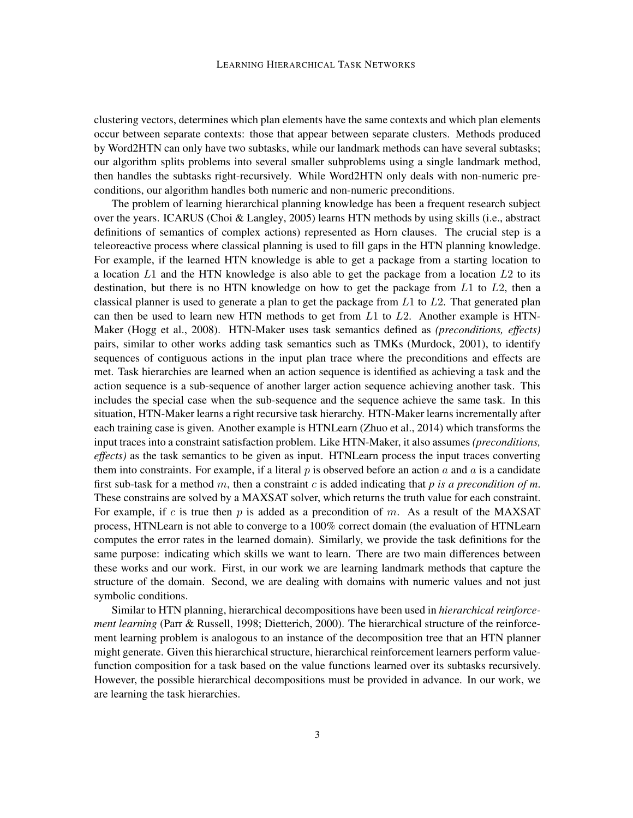clustering vectors, determines which plan elements have the same contexts and which plan elements occur between separate contexts: those that appear between separate clusters. Methods produced by Word2HTN can only have two subtasks, while our landmark methods can have several subtasks; our algorithm splits problems into several smaller subproblems using a single landmark method, then handles the subtasks right-recursively. While Word2HTN only deals with non-numeric preconditions, our algorithm handles both numeric and non-numeric preconditions.

The problem of learning hierarchical planning knowledge has been a frequent research subject over the years. ICARUS (Choi & Langley, 2005) learns HTN methods by using skills (i.e., abstract definitions of semantics of complex actions) represented as Horn clauses. The crucial step is a teleoreactive process where classical planning is used to fill gaps in the HTN planning knowledge. For example, if the learned HTN knowledge is able to get a package from a starting location to a location  $L1$  and the HTN knowledge is also able to get the package from a location  $L2$  to its destination, but there is no HTN knowledge on how to get the package from  $L1$  to  $L2$ , then a classical planner is used to generate a plan to get the package from  $L1$  to  $L2$ . That generated plan can then be used to learn new HTN methods to get from  $L1$  to  $L2$ . Another example is HTN-Maker (Hogg et al., 2008). HTN-Maker uses task semantics defined as *(preconditions, effects)* pairs, similar to other works adding task semantics such as TMKs (Murdock, 2001), to identify sequences of contiguous actions in the input plan trace where the preconditions and effects are met. Task hierarchies are learned when an action sequence is identified as achieving a task and the action sequence is a sub-sequence of another larger action sequence achieving another task. This includes the special case when the sub-sequence and the sequence achieve the same task. In this situation, HTN-Maker learns a right recursive task hierarchy. HTN-Maker learns incrementally after each training case is given. Another example is HTNLearn (Zhuo et al., 2014) which transforms the input traces into a constraint satisfaction problem. Like HTN-Maker, it also assumes *(preconditions, effects*) as the task semantics to be given as input. HTNLearn process the input traces converting them into constraints. For example, if a literal  $p$  is observed before an action  $a$  and  $a$  is a candidate first sub-task for a method m, then a constraint c is added indicating that *p is a precondition of m*. These constrains are solved by a MAXSAT solver, which returns the truth value for each constraint. For example, if c is true then p is added as a precondition of m. As a result of the MAXSAT process, HTNLearn is not able to converge to a 100% correct domain (the evaluation of HTNLearn computes the error rates in the learned domain). Similarly, we provide the task definitions for the same purpose: indicating which skills we want to learn. There are two main differences between these works and our work. First, in our work we are learning landmark methods that capture the structure of the domain. Second, we are dealing with domains with numeric values and not just symbolic conditions.

Similar to HTN planning, hierarchical decompositions have been used in *hierarchical reinforcement learning* (Parr & Russell, 1998; Dietterich, 2000). The hierarchical structure of the reinforcement learning problem is analogous to an instance of the decomposition tree that an HTN planner might generate. Given this hierarchical structure, hierarchical reinforcement learners perform valuefunction composition for a task based on the value functions learned over its subtasks recursively. However, the possible hierarchical decompositions must be provided in advance. In our work, we are learning the task hierarchies.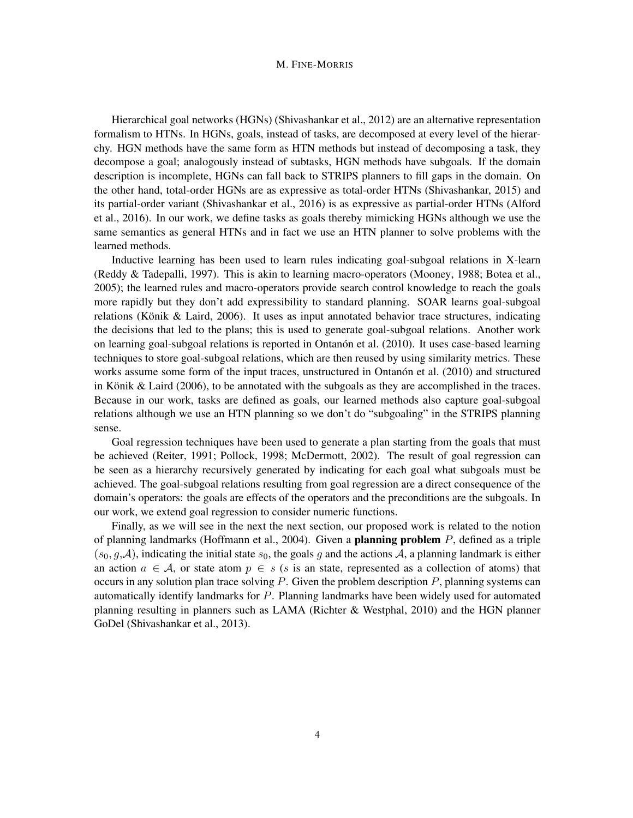Hierarchical goal networks (HGNs) (Shivashankar et al., 2012) are an alternative representation formalism to HTNs. In HGNs, goals, instead of tasks, are decomposed at every level of the hierarchy. HGN methods have the same form as HTN methods but instead of decomposing a task, they decompose a goal; analogously instead of subtasks, HGN methods have subgoals. If the domain description is incomplete, HGNs can fall back to STRIPS planners to fill gaps in the domain. On the other hand, total-order HGNs are as expressive as total-order HTNs (Shivashankar, 2015) and its partial-order variant (Shivashankar et al., 2016) is as expressive as partial-order HTNs (Alford et al., 2016). In our work, we define tasks as goals thereby mimicking HGNs although we use the same semantics as general HTNs and in fact we use an HTN planner to solve problems with the learned methods.

Inductive learning has been used to learn rules indicating goal-subgoal relations in X-learn (Reddy & Tadepalli, 1997). This is akin to learning macro-operators (Mooney, 1988; Botea et al., 2005); the learned rules and macro-operators provide search control knowledge to reach the goals more rapidly but they don't add expressibility to standard planning. SOAR learns goal-subgoal relations (Könik & Laird, 2006). It uses as input annotated behavior trace structures, indicating the decisions that led to the plans; this is used to generate goal-subgoal relations. Another work on learning goal-subgoal relations is reported in Ontanón et al. (2010). It uses case-based learning techniques to store goal-subgoal relations, which are then reused by using similarity metrics. These works assume some form of the input traces, unstructured in Ontanón et al. (2010) and structured in Könik & Laird (2006), to be annotated with the subgoals as they are accomplished in the traces. Because in our work, tasks are defined as goals, our learned methods also capture goal-subgoal relations although we use an HTN planning so we don't do "subgoaling" in the STRIPS planning sense.

Goal regression techniques have been used to generate a plan starting from the goals that must be achieved (Reiter, 1991; Pollock, 1998; McDermott, 2002). The result of goal regression can be seen as a hierarchy recursively generated by indicating for each goal what subgoals must be achieved. The goal-subgoal relations resulting from goal regression are a direct consequence of the domain's operators: the goals are effects of the operators and the preconditions are the subgoals. In our work, we extend goal regression to consider numeric functions.

Finally, as we will see in the next the next section, our proposed work is related to the notion of planning landmarks (Hoffmann et al., 2004). Given a planning problem P, defined as a triple  $(s_0, g, A)$ , indicating the initial state  $s_0$ , the goals g and the actions A, a planning landmark is either an action  $a \in \mathcal{A}$ , or state atom  $p \in s$  (s is an state, represented as a collection of atoms) that occurs in any solution plan trace solving  $P$ . Given the problem description  $P$ , planning systems can automatically identify landmarks for P. Planning landmarks have been widely used for automated planning resulting in planners such as LAMA (Richter & Westphal, 2010) and the HGN planner GoDel (Shivashankar et al., 2013).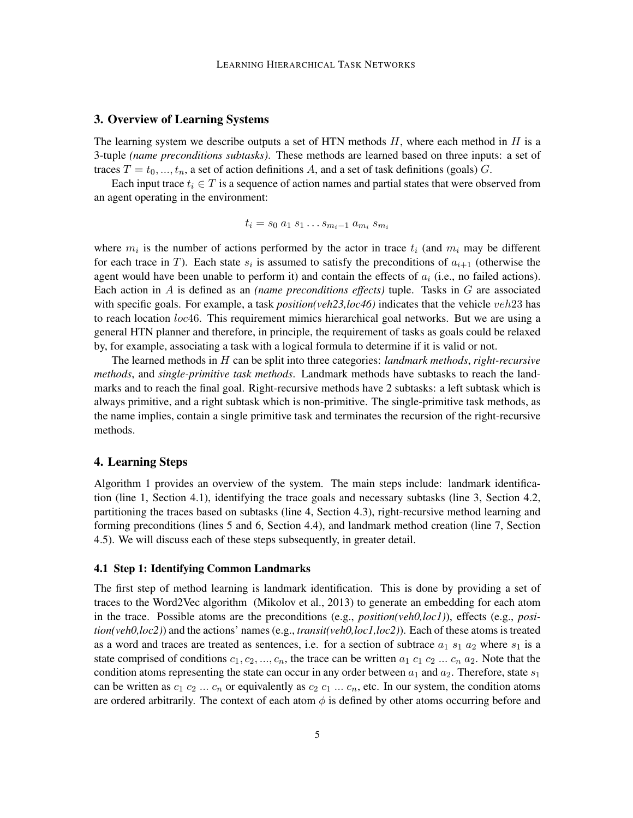#### 3. Overview of Learning Systems

The learning system we describe outputs a set of HTN methods  $H$ , where each method in  $H$  is a 3-tuple *(name preconditions subtasks)*. These methods are learned based on three inputs: a set of traces  $T = t_0, ..., t_n$ , a set of action definitions A, and a set of task definitions (goals) G.

Each input trace  $t_i \in T$  is a sequence of action names and partial states that were observed from an agent operating in the environment:

$$
t_i = s_0 \, a_1 \, s_1 \ldots s_{m_i-1} \, a_{m_i} \, s_{m_i}
$$

where  $m_i$  is the number of actions performed by the actor in trace  $t_i$  (and  $m_i$  may be different for each trace in T). Each state  $s_i$  is assumed to satisfy the preconditions of  $a_{i+1}$  (otherwise the agent would have been unable to perform it) and contain the effects of  $a_i$  (i.e., no failed actions). Each action in A is defined as an *(name preconditions effects)* tuple. Tasks in G are associated with specific goals. For example, a task *position(veh23,loc46)* indicates that the vehicle *veh23* has to reach location loc46. This requirement mimics hierarchical goal networks. But we are using a general HTN planner and therefore, in principle, the requirement of tasks as goals could be relaxed by, for example, associating a task with a logical formula to determine if it is valid or not.

The learned methods in H can be split into three categories: *landmark methods*, *right-recursive methods*, and *single-primitive task methods*. Landmark methods have subtasks to reach the landmarks and to reach the final goal. Right-recursive methods have 2 subtasks: a left subtask which is always primitive, and a right subtask which is non-primitive. The single-primitive task methods, as the name implies, contain a single primitive task and terminates the recursion of the right-recursive methods.

### 4. Learning Steps

Algorithm 1 provides an overview of the system. The main steps include: landmark identification (line 1, Section 4.1), identifying the trace goals and necessary subtasks (line 3, Section 4.2, partitioning the traces based on subtasks (line 4, Section 4.3), right-recursive method learning and forming preconditions (lines 5 and 6, Section 4.4), and landmark method creation (line 7, Section 4.5). We will discuss each of these steps subsequently, in greater detail.

#### 4.1 Step 1: Identifying Common Landmarks

The first step of method learning is landmark identification. This is done by providing a set of traces to the Word2Vec algorithm (Mikolov et al., 2013) to generate an embedding for each atom in the trace. Possible atoms are the preconditions (e.g., *position(veh0,loc1)*), effects (e.g., *position(veh0,loc2)*) and the actions' names (e.g., *transit(veh0,loc1,loc2)*). Each of these atoms is treated as a word and traces are treated as sentences, i.e. for a section of subtrace  $a_1 s_1 a_2$  where  $s_1$  is a state comprised of conditions  $c_1, c_2, ..., c_n$ , the trace can be written  $a_1 c_1 c_2 ... c_n a_2$ . Note that the condition atoms representing the state can occur in any order between  $a_1$  and  $a_2$ . Therefore, state  $s_1$ can be written as  $c_1$   $c_2$  ...  $c_n$  or equivalently as  $c_2$   $c_1$  ...  $c_n$ , etc. In our system, the condition atoms are ordered arbitrarily. The context of each atom  $\phi$  is defined by other atoms occurring before and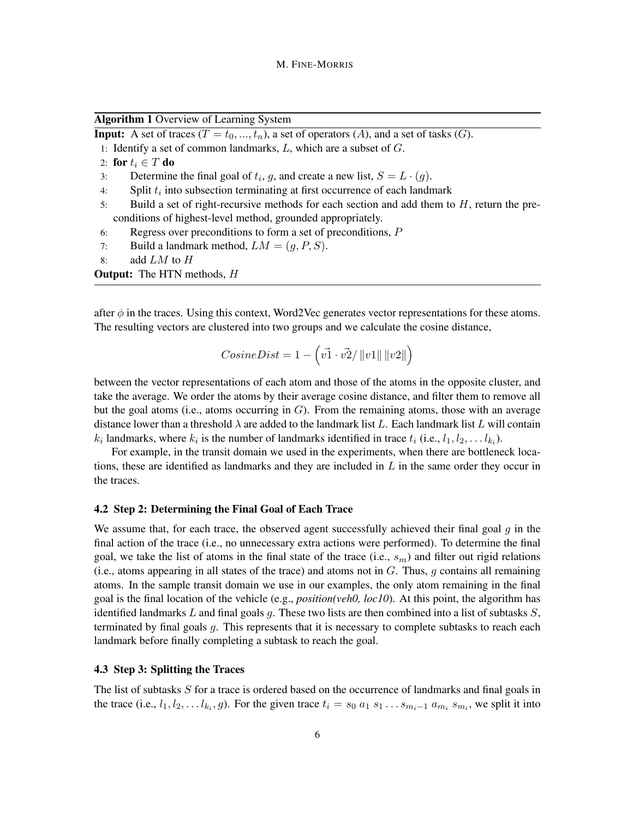Algorithm 1 Overview of Learning System

**Input:** A set of traces  $(T = t_0, ..., t_n)$ , a set of operators  $(A)$ , and a set of tasks  $(G)$ .

- 1: Identify a set of common landmarks,  $L$ , which are a subset of  $G$ .
- 2: for  $t_i \in T$  do

3: Determine the final goal of  $t_i$ , g, and create a new list,  $S = L \cdot (g)$ .

- 4: Split  $t_i$  into subsection terminating at first occurrence of each landmark
- 5: Build a set of right-recursive methods for each section and add them to  $H$ , return the preconditions of highest-level method, grounded appropriately.
- 6: Regress over preconditions to form a set of preconditions, P
- 7: Build a landmark method,  $LM = (g, P, S)$ .
- 8: add  $LM$  to  $H$

**Output:** The HTN methods, H

after  $\phi$  in the traces. Using this context, Word2Vec generates vector representations for these atoms. The resulting vectors are clustered into two groups and we calculate the cosine distance,

$$
CosineDist = 1 - \left(\vec{v1} \cdot \vec{v2} / \left\|v1\right\| \left\|v2\right\|\right)
$$

between the vector representations of each atom and those of the atoms in the opposite cluster, and take the average. We order the atoms by their average cosine distance, and filter them to remove all but the goal atoms (i.e., atoms occurring in  $G$ ). From the remaining atoms, those with an average distance lower than a threshold  $\lambda$  are added to the landmark list L. Each landmark list L will contain  $k_i$  landmarks, where  $k_i$  is the number of landmarks identified in trace  $t_i$  (i.e.,  $l_1, l_2, \ldots l_{k_i}$ ).

For example, in the transit domain we used in the experiments, when there are bottleneck locations, these are identified as landmarks and they are included in  $L$  in the same order they occur in the traces.

#### 4.2 Step 2: Determining the Final Goal of Each Trace

We assume that, for each trace, the observed agent successfully achieved their final goal  $q$  in the final action of the trace (i.e., no unnecessary extra actions were performed). To determine the final goal, we take the list of atoms in the final state of the trace (i.e.,  $s_m$ ) and filter out rigid relations (i.e., atoms appearing in all states of the trace) and atoms not in  $G$ . Thus,  $g$  contains all remaining atoms. In the sample transit domain we use in our examples, the only atom remaining in the final goal is the final location of the vehicle (e.g., *position(veh0, loc10*). At this point, the algorithm has identified landmarks L and final goals q. These two lists are then combined into a list of subtasks  $S$ , terminated by final goals g. This represents that it is necessary to complete subtasks to reach each landmark before finally completing a subtask to reach the goal.

#### 4.3 Step 3: Splitting the Traces

The list of subtasks S for a trace is ordered based on the occurrence of landmarks and final goals in the trace (i.e.,  $l_1, l_2, \ldots l_{k_i}, g$ ). For the given trace  $t_i = s_0 a_1 s_1 \ldots s_{m_i-1} a_{m_i} s_{m_i}$ , we split it into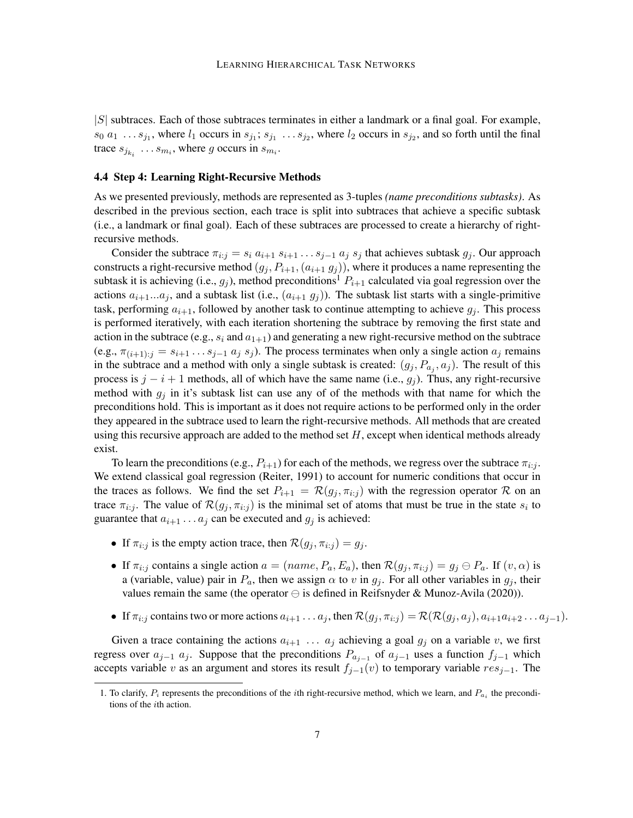$|S|$  subtraces. Each of those subtraces terminates in either a landmark or a final goal. For example,  $s_0$   $a_1$  ...  $s_{j_1}$ , where  $l_1$  occurs in  $s_{j_1}$ ;  $s_{j_1}$  ...  $s_{j_2}$ , where  $l_2$  occurs in  $s_{j_2}$ , and so forth until the final trace  $s_{j_{k_i}} \dots s_{m_i}$ , where g occurs in  $s_{m_i}$ .

#### 4.4 Step 4: Learning Right-Recursive Methods

As we presented previously, methods are represented as 3-tuples *(name preconditions subtasks)*. As described in the previous section, each trace is split into subtraces that achieve a specific subtask (i.e., a landmark or final goal). Each of these subtraces are processed to create a hierarchy of rightrecursive methods.

Consider the subtrace  $\pi_{i:j} = s_i a_{i+1} s_{i+1} \dots s_{j-1} a_j s_j$  that achieves subtask  $g_j$ . Our approach constructs a right-recursive method  $(g_j, P_{i+1}, (a_{i+1}, g_j))$ , where it produces a name representing the subtask it is achieving (i.e.,  $g_i$ ), method preconditions<sup>1</sup>  $P_{i+1}$  calculated via goal regression over the actions  $a_{i+1}...a_j$ , and a subtask list (i.e.,  $(a_{i+1} g_i)$ ). The subtask list starts with a single-primitive task, performing  $a_{i+1}$ , followed by another task to continue attempting to achieve  $g_i$ . This process is performed iteratively, with each iteration shortening the subtrace by removing the first state and action in the subtrace (e.g.,  $s_i$  and  $a_{1+1}$ ) and generating a new right-recursive method on the subtrace (e.g.,  $\pi_{(i+1):j} = s_{i+1} \dots s_{j-1} a_j s_j$ ). The process terminates when only a single action  $a_j$  remains in the subtrace and a method with only a single subtask is created:  $(g_j, P_{a_j}, a_j)$ . The result of this process is  $j - i + 1$  methods, all of which have the same name (i.e.,  $g_j$ ). Thus, any right-recursive method with  $g_i$  in it's subtask list can use any of of the methods with that name for which the preconditions hold. This is important as it does not require actions to be performed only in the order they appeared in the subtrace used to learn the right-recursive methods. All methods that are created using this recursive approach are added to the method set  $H$ , except when identical methods already exist.

To learn the preconditions (e.g.,  $P_{i+1}$ ) for each of the methods, we regress over the subtrace  $\pi_{i:j}$ . We extend classical goal regression (Reiter, 1991) to account for numeric conditions that occur in the traces as follows. We find the set  $P_{i+1} = \mathcal{R}(g_i, \pi_{i:i})$  with the regression operator  $\mathcal R$  on an trace  $\pi_{i:j}$ . The value of  $\mathcal{R}(g_j, \pi_{i:j})$  is the minimal set of atoms that must be true in the state  $s_i$  to guarantee that  $a_{i+1} \ldots a_j$  can be executed and  $g_j$  is achieved:

- If  $\pi_{i:j}$  is the empty action trace, then  $\mathcal{R}(g_i, \pi_{i:j}) = g_i$ .
- If  $\pi_{i:j}$  contains a single action  $a = (name, P_a, E_a)$ , then  $\mathcal{R}(g_j, \pi_{i:j}) = g_j \ominus P_a$ . If  $(v, \alpha)$  is a (variable, value) pair in  $P_a$ , then we assign  $\alpha$  to v in  $g_j$ . For all other variables in  $g_j$ , their values remain the same (the operator  $\ominus$  is defined in Reifsnyder & Munoz-Avila (2020)).
- If  $\pi_{i:j}$  contains two or more actions  $a_{i+1} \ldots a_j$ , then  $\mathcal{R}(g_i, \pi_{i:j}) = \mathcal{R}(\mathcal{R}(g_i, a_j), a_{i+1}a_{i+2} \ldots a_{j-1}).$

Given a trace containing the actions  $a_{i+1}$  ...  $a_j$  achieving a goal  $g_j$  on a variable v, we first regress over  $a_{j-1}$   $a_j$ . Suppose that the preconditions  $P_{a_{j-1}}$  of  $a_{j-1}$  uses a function  $f_{j-1}$  which accepts variable v as an argument and stores its result  $f_{i-1}(v)$  to temporary variable  $res_{i-1}$ . The

<sup>1.</sup> To clarify,  $P_i$  represents the preconditions of the *i*th right-recursive method, which we learn, and  $P_{a_i}$  the preconditions of the ith action.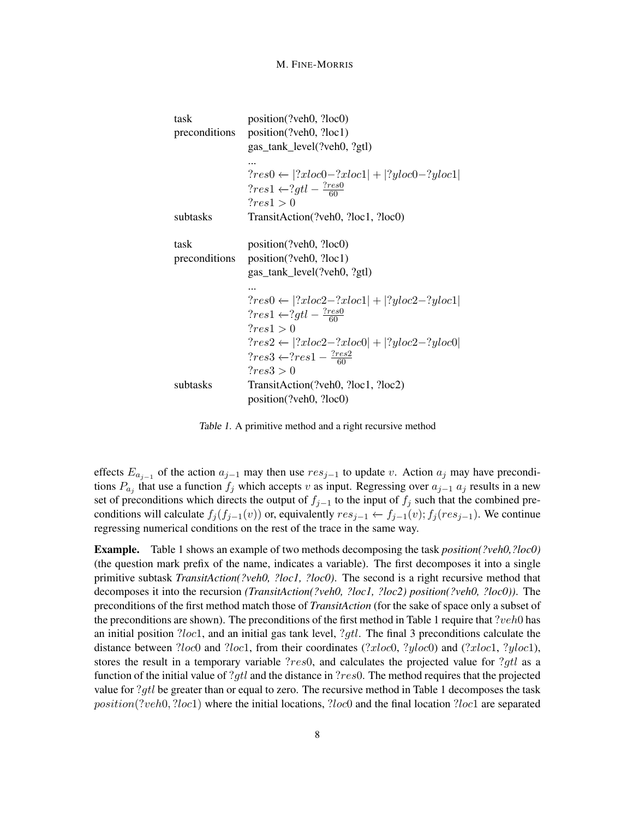| task          | position(?veh0, ?loc0)                                   |
|---------------|----------------------------------------------------------|
| preconditions | position(?veh0, ?loc1)                                   |
|               | gas_tank_level(?veh0, ?gtl)                              |
|               |                                                          |
|               | $?res0 \leftarrow  ?xloc0 - ?xloc1  +  ?yloc0 - ?yloc1 $ |
|               | $?res1 \leftarrow ?gt1 - \frac{?res0}{60}$               |
|               | ?res1 > 0                                                |
| subtasks      | TransitAction(?veh0, ?loc1, ?loc0)                       |
| task          | position(?veh0, ?loc0)                                   |
| preconditions | position(?veh0, ?loc1)                                   |
|               |                                                          |
|               | gas_tank_level(?veh0, ?gtl)                              |
|               |                                                          |
|               | $?res0 \leftarrow  ?xloc2 - ?xloc1  +  ?yloc2 - ?yloc1 $ |
|               | $?res1 \leftarrow ?gt1 - \frac{?res0}{60}$               |
|               | ?res1 > 0                                                |
|               | $?res2 \leftarrow  ?xloc2 - ?xloc0  +  ?yloc2 - ?yloc0 $ |
|               | $?res3 \leftarrow ?res1 - \frac{?res2}{60}$              |
|               | ?res3 > 0                                                |
| subtasks      | TransitAction(?veh0, ?loc1, ?loc2)                       |
|               | position(?veh0, ?loc0)                                   |

Table 1. A primitive method and a right recursive method

effects  $E_{a_{j-1}}$  of the action  $a_{j-1}$  may then use  $res_{j-1}$  to update v. Action  $a_j$  may have preconditions  $P_{a_j}$  that use a function  $f_j$  which accepts v as input. Regressing over  $a_{j-1}$   $a_j$  results in a new set of preconditions which directs the output of  $f_{j-1}$  to the input of  $f_j$  such that the combined preconditions will calculate  $f_j(f_{j-1}(v))$  or, equivalently  $res_{j-1} \leftarrow f_{j-1}(v); f_j(res_{j-1})$ . We continue regressing numerical conditions on the rest of the trace in the same way.

Example. Table 1 shows an example of two methods decomposing the task *position(?veh0,?loc0)* (the question mark prefix of the name, indicates a variable). The first decomposes it into a single primitive subtask *TransitAction(?veh0, ?loc1, ?loc0)*. The second is a right recursive method that decomposes it into the recursion *(TransitAction(?veh0, ?loc1, ?loc2) position(?veh0, ?loc0))*. The preconditions of the first method match those of *TransitAction* (for the sake of space only a subset of the preconditions are shown). The preconditions of the first method in Table 1 require that ?veh0 has an initial position  $2loc1$ , and an initial gas tank level,  $2gtl$ . The final 3 preconditions calculate the distance between ?loc0 and ?loc1, from their coordinates (?xloc0, ?yloc0) and (?xloc1, ?yloc1), stores the result in a temporary variable ?*res*0, and calculates the projected value for ?*qtl* as a function of the initial value of ?gtl and the distance in ?res0. The method requires that the projected value for ?gtl be greater than or equal to zero. The recursive method in Table 1 decomposes the task position(?veh0, ?loc1) where the initial locations, ?loc0 and the final location ?loc1 are separated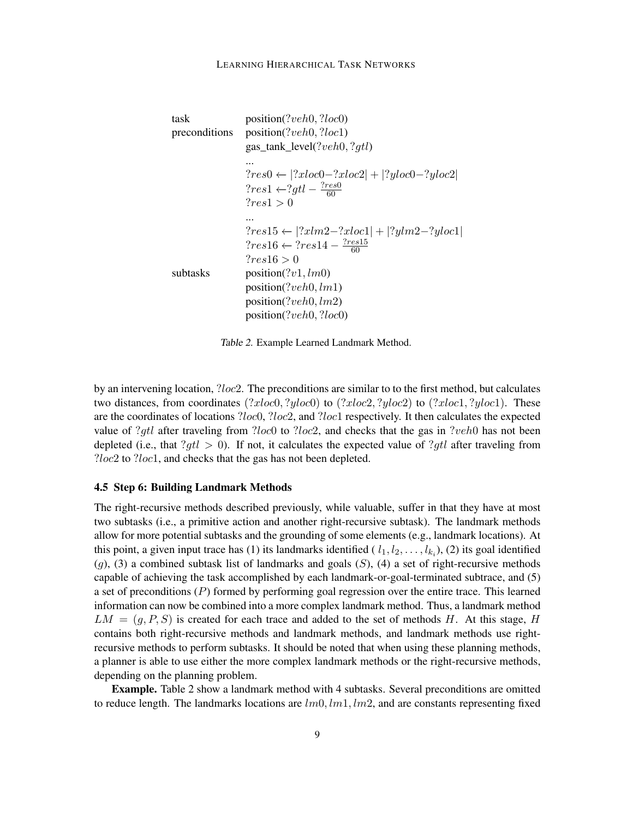```
task position(?veh0, ?loc0)
preconditions position(?veh0, ?loc1)
                 gas_tank_level(?veh0, ?gtl)
                 ...
                 ?res0 \leftarrow |?xloc0 - ?xloc2| + |?yloc0 - ?yloc2|?res1 \leftarrow ?gt1 - \frac{?res0}{60}60
                 ?res1 > 0...
                 ?res15 \leftarrow |?xlm2 - ?xloc1| + |?ylm2 - ?yloc1|?res16 \leftarrow ?res14 - \frac{?res15}{60}60
                 ?res16 > 0subtasks position(?v1, lm0)
                 position(?veh0, lm1)
                 position(?veh0, lm2)
                 position(?veh0, ?loc0)
```
Table 2. Example Learned Landmark Method.

by an intervening location, ?loc2. The preconditions are similar to to the first method, but calculates two distances, from coordinates  $(?xloc0, ?yloc0)$  to  $(?xloc2, ?yloc2)$  to  $(?xloc1, ?yloc1)$ . These are the coordinates of locations ?loc0, ?loc2, and ?loc1 respectively. It then calculates the expected value of ?gtl after traveling from ?loc0 to ?loc2, and checks that the gas in ?veh0 has not been depleted (i.e., that  $?qtl > 0$ ). If not, it calculates the expected value of  $?qtl$  after traveling from ?loc2 to ?loc1, and checks that the gas has not been depleted.

### 4.5 Step 6: Building Landmark Methods

The right-recursive methods described previously, while valuable, suffer in that they have at most two subtasks (i.e., a primitive action and another right-recursive subtask). The landmark methods allow for more potential subtasks and the grounding of some elements (e.g., landmark locations). At this point, a given input trace has (1) its landmarks identified ( $l_1, l_2, \ldots, l_{k_i}$ ), (2) its goal identified  $(q)$ , (3) a combined subtask list of landmarks and goals  $(S)$ , (4) a set of right-recursive methods capable of achieving the task accomplished by each landmark-or-goal-terminated subtrace, and (5) a set of preconditions  $(P)$  formed by performing goal regression over the entire trace. This learned information can now be combined into a more complex landmark method. Thus, a landmark method  $LM = (q, P, S)$  is created for each trace and added to the set of methods H. At this stage, H contains both right-recursive methods and landmark methods, and landmark methods use rightrecursive methods to perform subtasks. It should be noted that when using these planning methods, a planner is able to use either the more complex landmark methods or the right-recursive methods, depending on the planning problem.

Example. Table 2 show a landmark method with 4 subtasks. Several preconditions are omitted to reduce length. The landmarks locations are  $lm0, lm1, lm2$ , and are constants representing fixed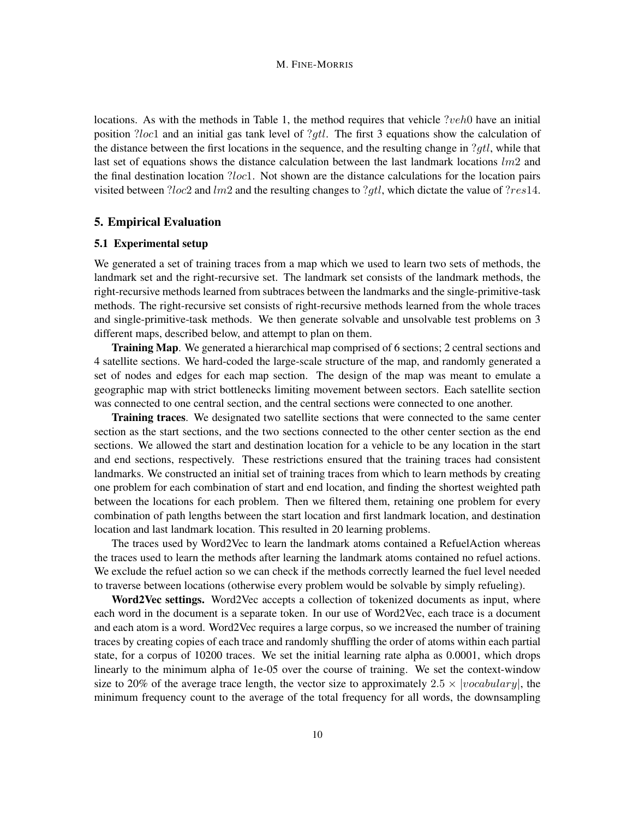locations. As with the methods in Table 1, the method requires that vehicle  $2veh0$  have an initial position ?loc1 and an initial gas tank level of ?gtl. The first 3 equations show the calculation of the distance between the first locations in the sequence, and the resulting change in ?gtl, while that last set of equations shows the distance calculation between the last landmark locations  $lm2$  and the final destination location ?loc1. Not shown are the distance calculations for the location pairs visited between ?loc2 and lm2 and the resulting changes to ?qtl, which dictate the value of ?res14.

# 5. Empirical Evaluation

### 5.1 Experimental setup

We generated a set of training traces from a map which we used to learn two sets of methods, the landmark set and the right-recursive set. The landmark set consists of the landmark methods, the right-recursive methods learned from subtraces between the landmarks and the single-primitive-task methods. The right-recursive set consists of right-recursive methods learned from the whole traces and single-primitive-task methods. We then generate solvable and unsolvable test problems on 3 different maps, described below, and attempt to plan on them.

Training Map. We generated a hierarchical map comprised of 6 sections; 2 central sections and 4 satellite sections. We hard-coded the large-scale structure of the map, and randomly generated a set of nodes and edges for each map section. The design of the map was meant to emulate a geographic map with strict bottlenecks limiting movement between sectors. Each satellite section was connected to one central section, and the central sections were connected to one another.

Training traces. We designated two satellite sections that were connected to the same center section as the start sections, and the two sections connected to the other center section as the end sections. We allowed the start and destination location for a vehicle to be any location in the start and end sections, respectively. These restrictions ensured that the training traces had consistent landmarks. We constructed an initial set of training traces from which to learn methods by creating one problem for each combination of start and end location, and finding the shortest weighted path between the locations for each problem. Then we filtered them, retaining one problem for every combination of path lengths between the start location and first landmark location, and destination location and last landmark location. This resulted in 20 learning problems.

The traces used by Word2Vec to learn the landmark atoms contained a RefuelAction whereas the traces used to learn the methods after learning the landmark atoms contained no refuel actions. We exclude the refuel action so we can check if the methods correctly learned the fuel level needed to traverse between locations (otherwise every problem would be solvable by simply refueling).

Word2Vec settings. Word2Vec accepts a collection of tokenized documents as input, where each word in the document is a separate token. In our use of Word2Vec, each trace is a document and each atom is a word. Word2Vec requires a large corpus, so we increased the number of training traces by creating copies of each trace and randomly shuffling the order of atoms within each partial state, for a corpus of 10200 traces. We set the initial learning rate alpha as 0.0001, which drops linearly to the minimum alpha of 1e-05 over the course of training. We set the context-window size to 20% of the average trace length, the vector size to approximately  $2.5 \times |vocalulary|$ , the minimum frequency count to the average of the total frequency for all words, the downsampling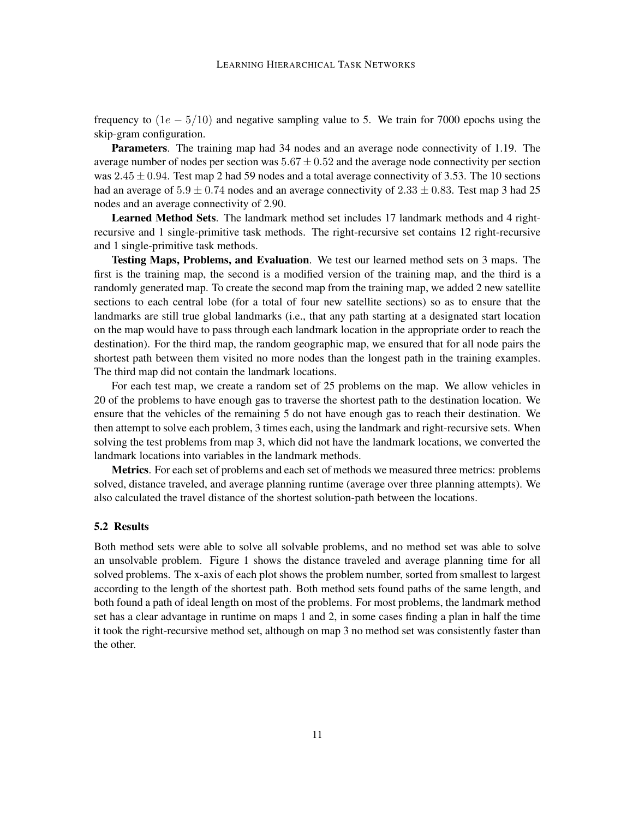frequency to  $(1e - 5/10)$  and negative sampling value to 5. We train for 7000 epochs using the skip-gram configuration.

Parameters. The training map had 34 nodes and an average node connectivity of 1.19. The average number of nodes per section was  $5.67 \pm 0.52$  and the average node connectivity per section was  $2.45 \pm 0.94$ . Test map 2 had 59 nodes and a total average connectivity of 3.53. The 10 sections had an average of  $5.9 \pm 0.74$  nodes and an average connectivity of  $2.33 \pm 0.83$ . Test map 3 had 25 nodes and an average connectivity of 2.90.

Learned Method Sets. The landmark method set includes 17 landmark methods and 4 rightrecursive and 1 single-primitive task methods. The right-recursive set contains 12 right-recursive and 1 single-primitive task methods.

Testing Maps, Problems, and Evaluation. We test our learned method sets on 3 maps. The first is the training map, the second is a modified version of the training map, and the third is a randomly generated map. To create the second map from the training map, we added 2 new satellite sections to each central lobe (for a total of four new satellite sections) so as to ensure that the landmarks are still true global landmarks (i.e., that any path starting at a designated start location on the map would have to pass through each landmark location in the appropriate order to reach the destination). For the third map, the random geographic map, we ensured that for all node pairs the shortest path between them visited no more nodes than the longest path in the training examples. The third map did not contain the landmark locations.

For each test map, we create a random set of 25 problems on the map. We allow vehicles in 20 of the problems to have enough gas to traverse the shortest path to the destination location. We ensure that the vehicles of the remaining 5 do not have enough gas to reach their destination. We then attempt to solve each problem, 3 times each, using the landmark and right-recursive sets. When solving the test problems from map 3, which did not have the landmark locations, we converted the landmark locations into variables in the landmark methods.

Metrics. For each set of problems and each set of methods we measured three metrics: problems solved, distance traveled, and average planning runtime (average over three planning attempts). We also calculated the travel distance of the shortest solution-path between the locations.

#### 5.2 Results

Both method sets were able to solve all solvable problems, and no method set was able to solve an unsolvable problem. Figure 1 shows the distance traveled and average planning time for all solved problems. The x-axis of each plot shows the problem number, sorted from smallest to largest according to the length of the shortest path. Both method sets found paths of the same length, and both found a path of ideal length on most of the problems. For most problems, the landmark method set has a clear advantage in runtime on maps 1 and 2, in some cases finding a plan in half the time it took the right-recursive method set, although on map 3 no method set was consistently faster than the other.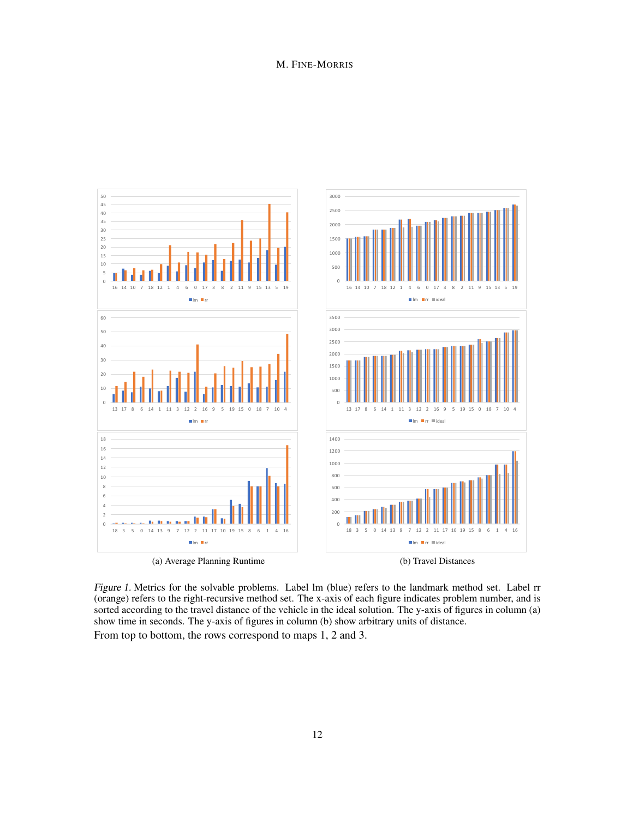

Figure 1. Metrics for the solvable problems. Label lm (blue) refers to the landmark method set. Label rr (orange) refers to the right-recursive method set. The x-axis of each figure indicates problem number, and is sorted according to the travel distance of the vehicle in the ideal solution. The y-axis of figures in column (a) show time in seconds. The y-axis of figures in column (b) show arbitrary units of distance. From top to bottom, the rows correspond to maps 1, 2 and 3.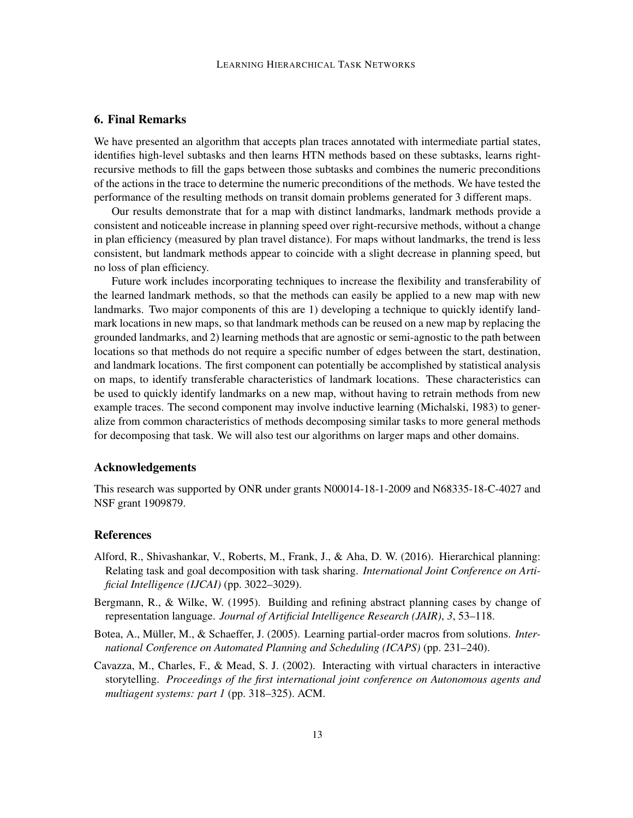# 6. Final Remarks

We have presented an algorithm that accepts plan traces annotated with intermediate partial states, identifies high-level subtasks and then learns HTN methods based on these subtasks, learns rightrecursive methods to fill the gaps between those subtasks and combines the numeric preconditions of the actions in the trace to determine the numeric preconditions of the methods. We have tested the performance of the resulting methods on transit domain problems generated for 3 different maps.

Our results demonstrate that for a map with distinct landmarks, landmark methods provide a consistent and noticeable increase in planning speed over right-recursive methods, without a change in plan efficiency (measured by plan travel distance). For maps without landmarks, the trend is less consistent, but landmark methods appear to coincide with a slight decrease in planning speed, but no loss of plan efficiency.

Future work includes incorporating techniques to increase the flexibility and transferability of the learned landmark methods, so that the methods can easily be applied to a new map with new landmarks. Two major components of this are 1) developing a technique to quickly identify landmark locations in new maps, so that landmark methods can be reused on a new map by replacing the grounded landmarks, and 2) learning methods that are agnostic or semi-agnostic to the path between locations so that methods do not require a specific number of edges between the start, destination, and landmark locations. The first component can potentially be accomplished by statistical analysis on maps, to identify transferable characteristics of landmark locations. These characteristics can be used to quickly identify landmarks on a new map, without having to retrain methods from new example traces. The second component may involve inductive learning (Michalski, 1983) to generalize from common characteristics of methods decomposing similar tasks to more general methods for decomposing that task. We will also test our algorithms on larger maps and other domains.

### Acknowledgements

This research was supported by ONR under grants N00014-18-1-2009 and N68335-18-C-4027 and NSF grant 1909879.

# References

- Alford, R., Shivashankar, V., Roberts, M., Frank, J., & Aha, D. W. (2016). Hierarchical planning: Relating task and goal decomposition with task sharing. *International Joint Conference on Artificial Intelligence (IJCAI)* (pp. 3022–3029).
- Bergmann, R., & Wilke, W. (1995). Building and refining abstract planning cases by change of representation language. *Journal of Artificial Intelligence Research (JAIR)*, *3*, 53–118.
- Botea, A., Müller, M., & Schaeffer, J. (2005). Learning partial-order macros from solutions. *International Conference on Automated Planning and Scheduling (ICAPS)* (pp. 231–240).
- Cavazza, M., Charles, F., & Mead, S. J. (2002). Interacting with virtual characters in interactive storytelling. *Proceedings of the first international joint conference on Autonomous agents and multiagent systems: part 1* (pp. 318–325). ACM.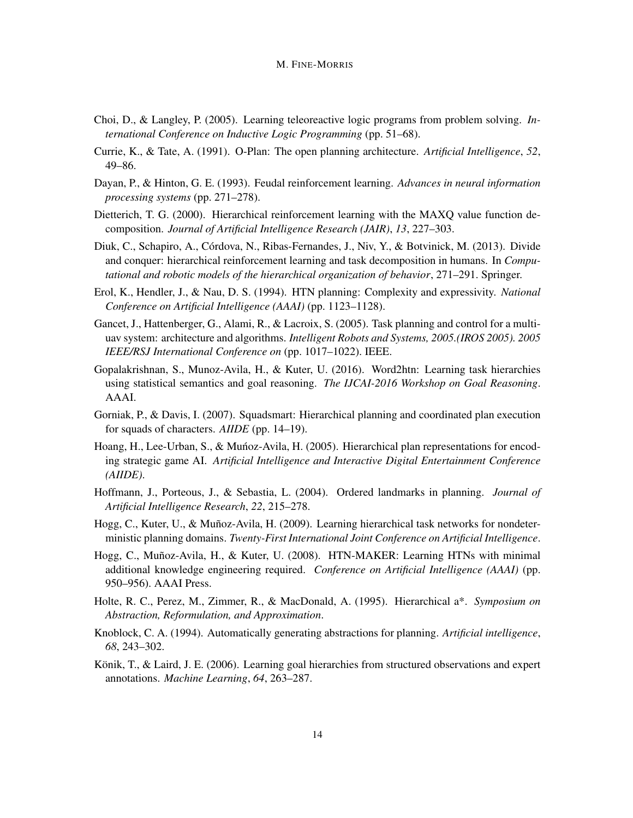- Choi, D., & Langley, P. (2005). Learning teleoreactive logic programs from problem solving. *International Conference on Inductive Logic Programming* (pp. 51–68).
- Currie, K., & Tate, A. (1991). O-Plan: The open planning architecture. *Artificial Intelligence*, *52*, 49–86.
- Dayan, P., & Hinton, G. E. (1993). Feudal reinforcement learning. *Advances in neural information processing systems* (pp. 271–278).
- Dietterich, T. G. (2000). Hierarchical reinforcement learning with the MAXQ value function decomposition. *Journal of Artificial Intelligence Research (JAIR)*, *13*, 227–303.
- Diuk, C., Schapiro, A., Córdova, N., Ribas-Fernandes, J., Niv, Y., & Botvinick, M. (2013). Divide and conquer: hierarchical reinforcement learning and task decomposition in humans. In *Computational and robotic models of the hierarchical organization of behavior*, 271–291. Springer.
- Erol, K., Hendler, J., & Nau, D. S. (1994). HTN planning: Complexity and expressivity. *National Conference on Artificial Intelligence (AAAI)* (pp. 1123–1128).
- Gancet, J., Hattenberger, G., Alami, R., & Lacroix, S. (2005). Task planning and control for a multiuav system: architecture and algorithms. *Intelligent Robots and Systems, 2005.(IROS 2005). 2005 IEEE/RSJ International Conference on* (pp. 1017–1022). IEEE.
- Gopalakrishnan, S., Munoz-Avila, H., & Kuter, U. (2016). Word2htn: Learning task hierarchies using statistical semantics and goal reasoning. *The IJCAI-2016 Workshop on Goal Reasoning*. AAAI.
- Gorniak, P., & Davis, I. (2007). Squadsmart: Hierarchical planning and coordinated plan execution for squads of characters. *AIIDE* (pp. 14–19).
- Hoang, H., Lee-Urban, S., & Munoz-Avila, H. (2005). Hierarchical plan representations for encod- ´ ing strategic game AI. *Artificial Intelligence and Interactive Digital Entertainment Conference (AIIDE)*.
- Hoffmann, J., Porteous, J., & Sebastia, L. (2004). Ordered landmarks in planning. *Journal of Artificial Intelligence Research*, *22*, 215–278.
- Hogg, C., Kuter, U., & Muñoz-Avila, H. (2009). Learning hierarchical task networks for nondeterministic planning domains. *Twenty-First International Joint Conference on Artificial Intelligence*.
- Hogg, C., Muñoz-Avila, H., & Kuter, U. (2008). HTN-MAKER: Learning HTNs with minimal additional knowledge engineering required. *Conference on Artificial Intelligence (AAAI)* (pp. 950–956). AAAI Press.
- Holte, R. C., Perez, M., Zimmer, R., & MacDonald, A. (1995). Hierarchical a\*. *Symposium on Abstraction, Reformulation, and Approximation*.
- Knoblock, C. A. (1994). Automatically generating abstractions for planning. *Artificial intelligence*, *68*, 243–302.
- Könik, T., & Laird, J. E. (2006). Learning goal hierarchies from structured observations and expert annotations. *Machine Learning*, *64*, 263–287.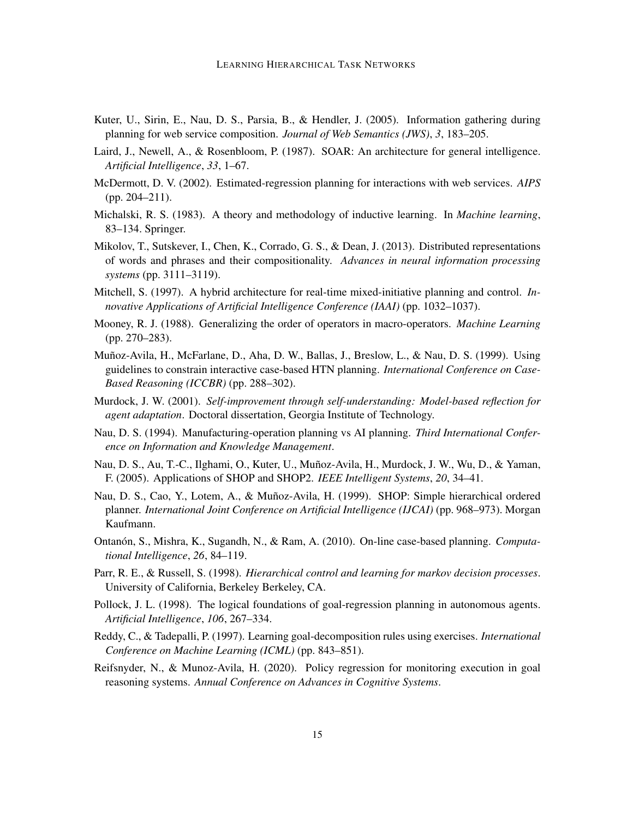- Kuter, U., Sirin, E., Nau, D. S., Parsia, B., & Hendler, J. (2005). Information gathering during planning for web service composition. *Journal of Web Semantics (JWS)*, *3*, 183–205.
- Laird, J., Newell, A., & Rosenbloom, P. (1987). SOAR: An architecture for general intelligence. *Artificial Intelligence*, *33*, 1–67.
- McDermott, D. V. (2002). Estimated-regression planning for interactions with web services. *AIPS* (pp. 204–211).
- Michalski, R. S. (1983). A theory and methodology of inductive learning. In *Machine learning*, 83–134. Springer.
- Mikolov, T., Sutskever, I., Chen, K., Corrado, G. S., & Dean, J. (2013). Distributed representations of words and phrases and their compositionality. *Advances in neural information processing systems* (pp. 3111–3119).
- Mitchell, S. (1997). A hybrid architecture for real-time mixed-initiative planning and control. *Innovative Applications of Artificial Intelligence Conference (IAAI)* (pp. 1032–1037).
- Mooney, R. J. (1988). Generalizing the order of operators in macro-operators. *Machine Learning* (pp. 270–283).
- Muñoz-Avila, H., McFarlane, D., Aha, D. W., Ballas, J., Breslow, L., & Nau, D. S. (1999). Using guidelines to constrain interactive case-based HTN planning. *International Conference on Case-Based Reasoning (ICCBR)* (pp. 288–302).
- Murdock, J. W. (2001). *Self-improvement through self-understanding: Model-based reflection for agent adaptation*. Doctoral dissertation, Georgia Institute of Technology.
- Nau, D. S. (1994). Manufacturing-operation planning vs AI planning. *Third International Conference on Information and Knowledge Management*.
- Nau, D. S., Au, T.-C., Ilghami, O., Kuter, U., Muñoz-Avila, H., Murdock, J. W., Wu, D., & Yaman, F. (2005). Applications of SHOP and SHOP2. *IEEE Intelligent Systems*, *20*, 34–41.
- Nau, D. S., Cao, Y., Lotem, A., & Muñoz-Avila, H. (1999). SHOP: Simple hierarchical ordered planner. *International Joint Conference on Artificial Intelligence (IJCAI)* (pp. 968–973). Morgan Kaufmann.
- Ontanón, S., Mishra, K., Sugandh, N., & Ram, A. (2010). On-line case-based planning. *Computational Intelligence*, *26*, 84–119.
- Parr, R. E., & Russell, S. (1998). *Hierarchical control and learning for markov decision processes*. University of California, Berkeley Berkeley, CA.
- Pollock, J. L. (1998). The logical foundations of goal-regression planning in autonomous agents. *Artificial Intelligence*, *106*, 267–334.
- Reddy, C., & Tadepalli, P. (1997). Learning goal-decomposition rules using exercises. *International Conference on Machine Learning (ICML)* (pp. 843–851).
- Reifsnyder, N., & Munoz-Avila, H. (2020). Policy regression for monitoring execution in goal reasoning systems. *Annual Conference on Advances in Cognitive Systems*.